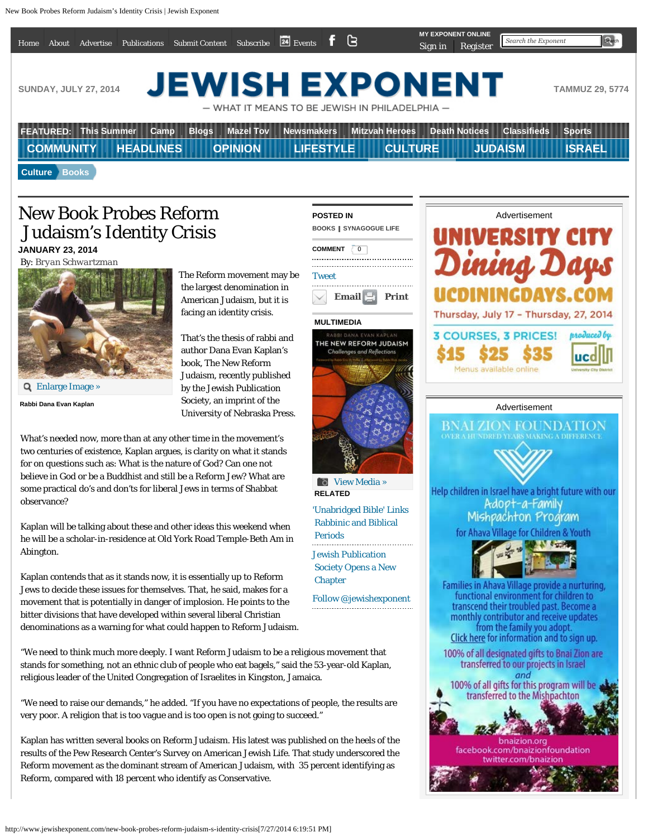<span id="page-0-0"></span>

| Home                                                                                                                                   | About                | Advertise                    | Publications     | <b>Submit Content</b> | Subscribe        | $\overline{\mathbf{24}}$ Events $\mathbf{f}$ $\mathbf{G}$ |  | Sign in               | <b>MY EXPONENT ONLINE</b><br>Register | Search the Exponent | Search        |
|----------------------------------------------------------------------------------------------------------------------------------------|----------------------|------------------------------|------------------|-----------------------|------------------|-----------------------------------------------------------|--|-----------------------|---------------------------------------|---------------------|---------------|
|                                                                                                                                        |                      |                              |                  |                       |                  |                                                           |  |                       |                                       |                     |               |
| <b>JEWISH EXPONENT</b><br><b>SUNDAY, JULY 27, 2014</b><br><b>TAMMUZ 29, 5774</b><br>$-$ WHAT IT MEANS TO BE JEWISH IN PHILADELPHIA $-$ |                      |                              |                  |                       |                  |                                                           |  |                       |                                       |                     |               |
|                                                                                                                                        |                      |                              |                  |                       |                  |                                                           |  |                       |                                       |                     |               |
|                                                                                                                                        |                      | <b>FEATURED: This Summer</b> | Camp             | <b>Blogs</b>          | <b>Mazel Tov</b> | <b>Newsmakers</b>                                         |  | <b>Mitzvah Heroes</b> | <b>Death Notices</b>                  | <b>Classifieds</b>  | <b>Sports</b> |
|                                                                                                                                        | <b>COMMUNITY</b>     |                              | <b>HEADLINES</b> |                       | <b>OPINION</b>   | <b>LIFESTYLE</b>                                          |  | <b>CULTURE</b>        |                                       | <b>JUDAISM</b>      | <b>ISRAEL</b> |
|                                                                                                                                        | <b>Culture Books</b> |                              |                  |                       |                  |                                                           |  |                       |                                       |                     |               |

[Tweet](https://twitter.com/share)

### New Book Probes Reform Judaism's Identity Crisis **JANUARY 23, 2014**

By: *[Bryan Schwartzman](http://www.jewishexponent.com/bryan-schwartzman)*



**Rabbi Dana Evan Kaplan**

The Reform movement may be the largest denomination in American Judaism, but it is facing an identity crisis.

That's the thesis of rabbi and author Dana Evan Kaplan's book, The New Reform Judaism, recently published by the Jewish Publication Society, an imprint of the University of Nebraska Press.

What's needed now, more than at any other time in the movement's two centuries of existence, Kaplan argues, is clarity on what it stands for on questions such as: What is the nature of God? Can one not believe in God or be a Buddhist and still be a Reform Jew? What are some practical do's and don'ts for liberal Jews in terms of Shabbat observance?

Kaplan will be talking about these and other ideas this weekend when he will be a scholar-in-residence at Old York Road Temple-Beth Am in Abington.

Kaplan contends that as it stands now, it is essentially up to Reform Jews to decide these issues for themselves. That, he said, makes for a movement that is potentially in danger of implosion. He points to the bitter divisions that have developed within several liberal Christian denominations as a warning for what could happen to Reform Judaism.

"We need to think much more deeply. I want Reform Judaism to be a religious movement that stands for something, not an ethnic club of people who eat bagels," said the 53-year-old Kaplan, religious leader of the United Congregation of Israelites in Kingston, Jamaica.

"We need to raise our demands," he added. "If you have no expectations of people, the results are very poor. A religion that is too vague and is too open is not going to succeed."

Kaplan has written several books on Reform Judaism. His latest was published on the heels of the results of the Pew Research Center's Survey on American Jewish Life. That study underscored the Reform movement as the dominant stream of American Judaism, with 35 percent identifying as Reform, compared with 18 percent who identify as Conservative.

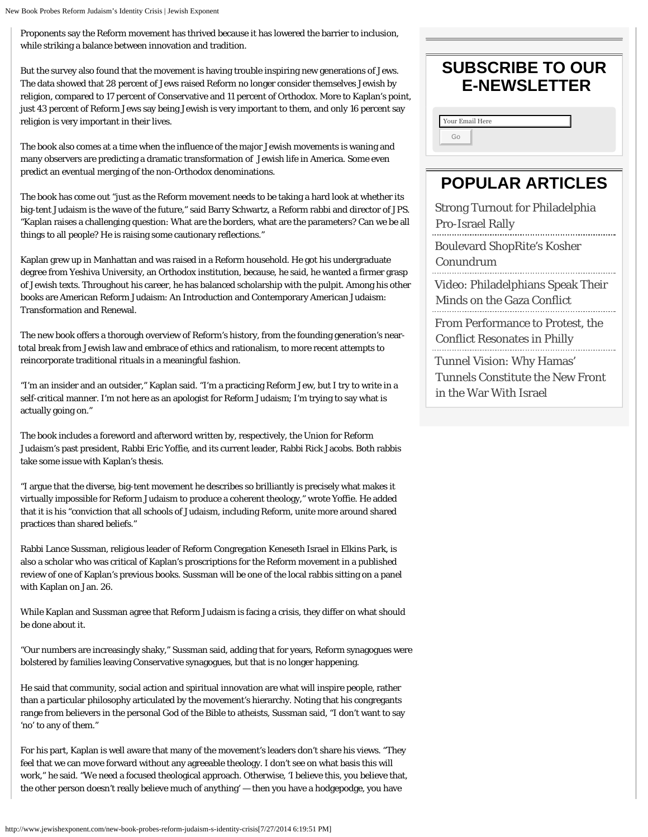Proponents say the Reform movement has thrived because it has lowered the barrier to inclusion, while striking a balance between innovation and tradition.

But the survey also found that the movement is having trouble inspiring new generations of Jews. The data showed that 28 percent of Jews raised Reform no longer consider themselves Jewish by religion, compared to 17 percent of Conservative and 11 percent of Orthodox. More to Kaplan's point, just 43 percent of Reform Jews say being Jewish is very important to them, and only 16 percent say religion is very important in their lives.

The book also comes at a time when the influence of the major Jewish movements is waning and many observers are predicting a dramatic transformation of Jewish life in America. Some even predict an eventual merging of the non-Orthodox denominations.

The book has come out "just as the Reform movement needs to be taking a hard look at whether its big-tent Judaism is the wave of the future," said Barry Schwartz, a Reform rabbi and director of JPS. "Kaplan raises a challenging question: What are the borders, what are the parameters? Can we be all things to all people? He is raising some cautionary reflections."

Kaplan grew up in Manhattan and was raised in a Reform household. He got his undergraduate degree from Yeshiva University, an Orthodox institution, because, he said, he wanted a firmer grasp of Jewish texts. Throughout his career, he has balanced scholarship with the pulpit. Among his other books are American Reform Judaism: An Introduction and Contemporary American Judaism: Transformation and Renewal.

The new book offers a thorough overview of Reform's history, from the founding generation's neartotal break from Jewish law and embrace of ethics and rationalism, to more recent attempts to reincorporate traditional rituals in a meaningful fashion.

"I'm an insider and an outsider," Kaplan said. "I'm a practicing Reform Jew, but I try to write in a self-critical manner. I'm not here as an apologist for Reform Judaism; I'm trying to say what is actually going on."

The book includes a foreword and afterword written by, respectively, the Union for Reform Judaism's past president, Rabbi Eric Yoffie, and its current leader, Rabbi Rick Jacobs. Both rabbis take some issue with Kaplan's thesis.

"I argue that the diverse, big-tent movement he describes so brilliantly is precisely what makes it virtually impossible for Reform Judaism to produce a coherent theology," wrote Yoffie. He added that it is his "conviction that all schools of Judaism, including Reform, unite more around shared practices than shared beliefs."

Rabbi Lance Sussman, religious leader of Reform Congregation Keneseth Israel in Elkins Park, is also a scholar who was critical of Kaplan's proscriptions for the Reform movement in a published review of one of Kaplan's previous books. Sussman will be one of the local rabbis sitting on a panel with Kaplan on Jan. 26.

While Kaplan and Sussman agree that Reform Judaism is facing a crisis, they differ on what should be done about it.

"Our numbers are increasingly shaky," Sussman said, adding that for years, Reform synagogues were bolstered by families leaving Conservative synagogues, but that is no longer happening.

He said that community, social action and spiritual innovation are what will inspire people, rather than a particular philosophy articulated by the movement's hierarchy. Noting that his congregants range from believers in the personal God of the Bible to atheists, Sussman said, "I don't want to say 'no' to any of them."

For his part, Kaplan is well aware that many of the movement's leaders don't share his views. "They feel that we can move forward without any agreeable theology. I don't see on what basis this will work," he said. "We need a focused theological approach. Otherwise, 'I believe this, you believe that, the other person doesn't really believe much of anything' — then you have a hodgepodge, you have

### **SUBSCRIBE TO OUR E-NEWSLETTER**

## **POPULAR ARTICLES**

[Strong Turnout for Philadelphia](http://www.jewishexponent.com/headlines/2014/07/strong-turnout-for-philadelphia-pro-israel-rally) Pro-Israel Rally

[Boulevard ShopRite's Kosher](http://www.jewishexponent.com/headlines/2014/07/boulevard-shoprite-s-kosher-conundrum)  [Conundrum](http://www.jewishexponent.com/headlines/2014/07/boulevard-shoprite-s-kosher-conundrum) [Video: Philadelphians Speak Their](http://www.jewishexponent.com/headlines/2014/07/video-philadelphians-speak-their-minds-on-the-gaza-conflict)  [Minds on the Gaza Conflict](http://www.jewishexponent.com/headlines/2014/07/video-philadelphians-speak-their-minds-on-the-gaza-conflict) [From Performance to Protest, the](http://www.jewishexponent.com/headlines/2014/07/from-performance-to-protest-the-conflict-resonates-in-philly)  [Conflict Resonates in Philly](http://www.jewishexponent.com/headlines/2014/07/from-performance-to-protest-the-conflict-resonates-in-philly)

[Tunnel Vision: Why Hamas'](http://www.jewishexponent.com/headlines/2014/07/tunnel-vision-why-hamas-tunnels-constitute-the-new-front-in-the-war-with-israel)  [Tunnels Constitute the New Front](http://www.jewishexponent.com/headlines/2014/07/tunnel-vision-why-hamas-tunnels-constitute-the-new-front-in-the-war-with-israel)  [in the War With Israel](http://www.jewishexponent.com/headlines/2014/07/tunnel-vision-why-hamas-tunnels-constitute-the-new-front-in-the-war-with-israel)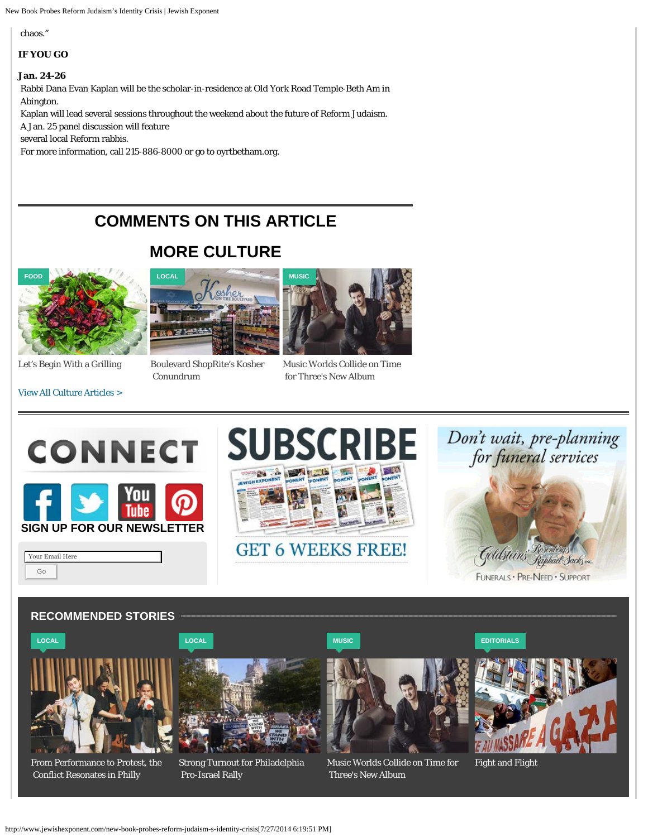New Book Probes Reform Judaism's Identity Crisis | Jewish Exponent

chaos."

#### **IF YOU GO**

#### **Jan. 24-26**

Rabbi Dana Evan Kaplan will be the scholar-in-residence at Old York Road Temple-Beth Am in Abington.

Kaplan will lead several sessions throughout the weekend about the future of Reform Judaism.

A Jan. 25 panel discussion will feature

several local Reform rabbis.

For more information, call 215-886-8000 or go to oyrtbetham.org.

LOCA

# **COMMENTS ON THIS ARTICLE**

# **MORE CULTURE**

oshe





[Boulevard ShopRite's Kosher](http://www.jewishexponent.com/headlines/2014/07/boulevard-shoprite-s-kosher-conundrum)  [Conundrum](http://www.jewishexponent.com/headlines/2014/07/boulevard-shoprite-s-kosher-conundrum)



[Music Worlds Collide on Time](http://www.jewishexponent.com/culture/2014/07/music-worlds-collide-on-time-for-threes-new-album)  [for Three's New Album](http://www.jewishexponent.com/culture/2014/07/music-worlds-collide-on-time-for-threes-new-album)

[View All Culture Articles >](http://www.jewishexponent.com/taxonomy/term/29)

Your Email Here Go





**[MUSIC](http://www.jewishexponent.com/culture/music)**

Don't wait, pre-planning<br>for funeral services



### **RECOMMENDED STORIES**



[From Performance to Protest, the](http://www.jewishexponent.com/headlines/2014/07/from-performance-to-protest-the-conflict-resonates-in-philly)  [Conflict Resonates in Philly](http://www.jewishexponent.com/headlines/2014/07/from-performance-to-protest-the-conflict-resonates-in-philly)



[Strong Turnout for Philadelphia](http://www.jewishexponent.com/headlines/2014/07/strong-turnout-for-philadelphia-pro-israel-rally)  [Pro-Israel Rally](http://www.jewishexponent.com/headlines/2014/07/strong-turnout-for-philadelphia-pro-israel-rally)



[Music Worlds Collide on Time for](http://www.jewishexponent.com/culture/2014/07/music-worlds-collide-on-time-for-threes-new-album)  [Three's New Album](http://www.jewishexponent.com/culture/2014/07/music-worlds-collide-on-time-for-threes-new-album)

**[EDITORIALS](http://www.jewishexponent.com/opinion/editorials)**



[Fight and Flight](http://www.jewishexponent.com/opinion/2014/07/fight-and-flight)

**[LOCAL](http://www.jewishexponent.com/headlines/local)**